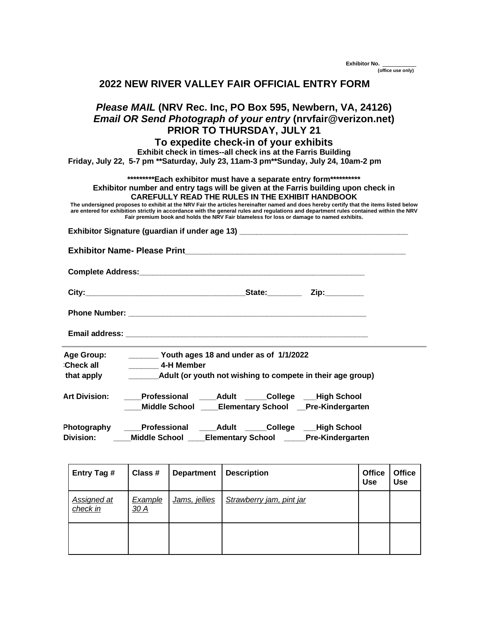**Exhibitor No. \_\_\_\_\_\_ (office use only)**

|  | 2022 NEW RIVER VALLEY FAIR OFFICIAL ENTRY FORM |  |
|--|------------------------------------------------|--|
|--|------------------------------------------------|--|

## *Please MAIL* **(NRV Rec. Inc, PO Box 595, Newbern, VA, 24126)**  *Email OR Send Photograph of your entry* **(nrvfair@verizon.net) PRIOR TO THURSDAY, JULY 21**

## **To expedite check-in of your exhibits**

**Exhibit check in times--all check ins at the Farris Building**

**Friday, July 22, 5-7 pm \*\*Saturday, July 23, 11am-3 pm\*\*Sunday, July 24, 10am-2 pm**

**\*\*\*\*\*\*\*\*\*Each exhibitor must have a separate entry form\*\*\*\*\*\*\*\*\*\***

**Exhibitor number and entry tags will be given at the Farris building upon check in CAREFULLY READ THE RULES IN THE EXHIBIT HANDBOOK**

The undersigned proposes to exhibit at the NRV Fair the articles hereinafter named and does hereby certify that the items listed below<br>are entered for exhibition strictly in accordance with the general rules and regulation **Fair premium book and holds the NRV Fair blameless for loss or damage to named exhibits.** 

**Exhibitor Signature (guardian if under age 13) \_\_\_\_\_\_\_\_\_\_\_\_\_\_\_\_\_\_\_\_\_\_\_\_\_\_\_\_\_\_\_\_\_\_\_\_\_\_\_**

**Exhibitor Name- Please Print\_\_\_\_\_\_\_\_\_\_\_\_\_\_\_\_\_\_\_\_\_\_\_\_\_\_\_\_\_\_\_\_\_\_\_\_\_\_\_\_\_\_\_\_\_\_\_\_\_\_\_**

**Complete Address:\_\_\_\_\_\_\_\_\_\_\_\_\_\_\_\_\_\_\_\_\_\_\_\_\_\_\_\_\_\_\_\_\_\_\_\_\_\_\_\_\_\_\_\_\_\_\_\_\_\_\_\_**

| `itv∙<br> | state: | in |
|-----------|--------|----|
|           |        |    |

**Phone Number:** *Phone Number:* 

**Email address: Email address: Email address: Email address: Email address: Email address: EMAIL ADDRESS:** 

| Age Group:       | Youth ages 18 and under as of 1/1/2022                     |
|------------------|------------------------------------------------------------|
| <b>Check all</b> | 4-H Member                                                 |
| that apply       | Adult (or youth not wishing to compete in their age group) |

Art Division: **Professional Adult College High School \_\_\_\_M \_\_\_\_Middle School \_\_\_\_Elementary School \_\_Pre-Kindergarten**

| Photography | <b>Professional</b>  | College<br>Adult         | _High School            |
|-------------|----------------------|--------------------------|-------------------------|
| Division:   | <b>Middle School</b> | <b>Elementary School</b> | <b>Pre-Kindergarten</b> |

| Entry Tag #                    | Class #                       | <b>Department</b> | <b>Description</b>       | <b>Office</b><br><b>Use</b> | <b>Office</b><br><b>Use</b> |
|--------------------------------|-------------------------------|-------------------|--------------------------|-----------------------------|-----------------------------|
| <b>Assigned at</b><br>check in | <b>Example</b><br><u>30 A</u> | Jams, jellies     | Strawberry jam, pint jar |                             |                             |
|                                |                               |                   |                          |                             |                             |